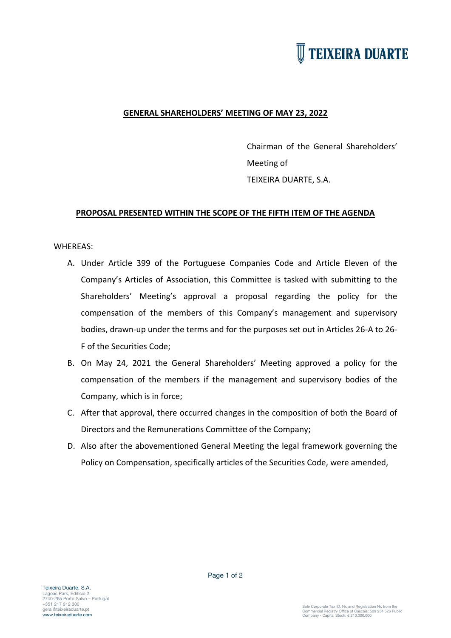

#### **GENERAL SHAREHOLDERS' MEETING OF MAY 23, 2022**

Chairman of the General Shareholders' Meeting of TEIXEIRA DUARTE, S.A.

#### **PROPOSAL PRESENTED WITHIN THE SCOPE OF THE FIFTH ITEM OF THE AGENDA**

WHEREAS:

- A. Under Article 399 of the Portuguese Companies Code and Article Eleven of the Company's Articles of Association, this Committee is tasked with submitting to the Shareholders' Meeting's approval a proposal regarding the policy for the compensation of the members of this Company's management and supervisory bodies, drawn-up under the terms and for the purposes set out in Articles 26-A to 26- F of the Securities Code;
- B. On May 24, 2021 the General Shareholders' Meeting approved a policy for the compensation of the members if the management and supervisory bodies of the Company, which is in force;
- C. After that approval, there occurred changes in the composition of both the Board of Directors and the Remunerations Committee of the Company;
- D. Also after the abovementioned General Meeting the legal framework governing the Policy on Compensation, specifically articles of the Securities Code, were amended,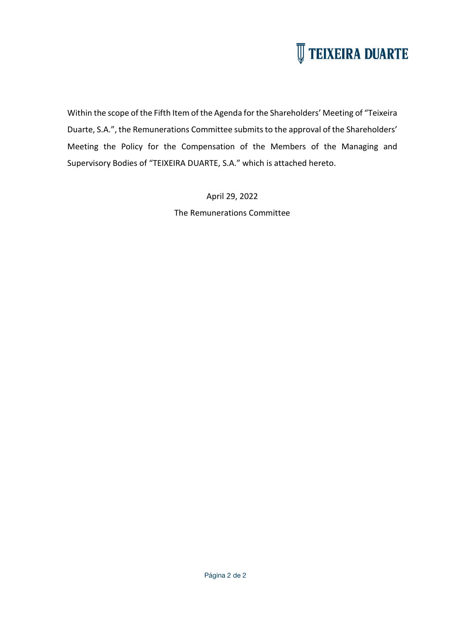

Within the scope of the Fifth Item of the Agenda for the Shareholders' Meeting of "Teixeira Duarte, S.A.", the Remunerations Committee submits to the approval of the Shareholders' Meeting the Policy for the Compensation of the Members of the Managing and Supervisory Bodies of "TEIXEIRA DUARTE, S.A." which is attached hereto.

> April 29, 2022 The Remunerations Committee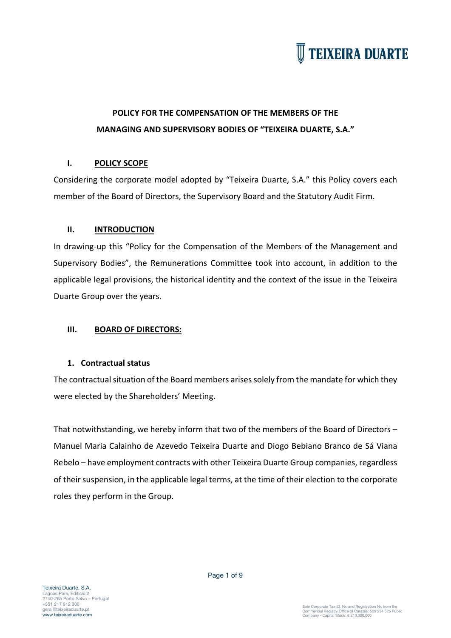

# **POLICY FOR THE COMPENSATION OF THE MEMBERS OF THE MANAGING AND SUPERVISORY BODIES OF "TEIXEIRA DUARTE, S.A."**

### **I. POLICY SCOPE**

Considering the corporate model adopted by "Teixeira Duarte, S.A." this Policy covers each member of the Board of Directors, the Supervisory Board and the Statutory Audit Firm.

### **II. INTRODUCTION**

In drawing-up this "Policy for the Compensation of the Members of the Management and Supervisory Bodies", the Remunerations Committee took into account, in addition to the applicable legal provisions, the historical identity and the context of the issue in the Teixeira Duarte Group over the years.

### **III. BOARD OF DIRECTORS:**

#### **1. Contractual status**

The contractual situation of the Board members arises solely from the mandate for which they were elected by the Shareholders' Meeting.

That notwithstanding, we hereby inform that two of the members of the Board of Directors – Manuel Maria Calainho de Azevedo Teixeira Duarte and Diogo Bebiano Branco de Sá Viana Rebelo – have employment contracts with other Teixeira Duarte Group companies, regardless of their suspension, in the applicable legal terms, at the time of their election to the corporate roles they perform in the Group.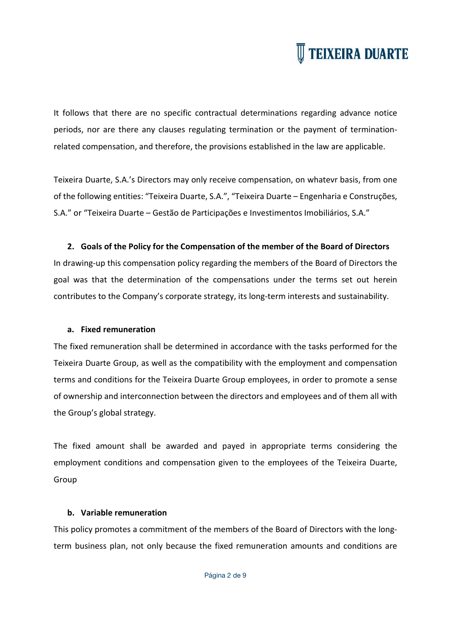It follows that there are no specific contractual determinations regarding advance notice periods, nor are there any clauses regulating termination or the payment of terminationrelated compensation, and therefore, the provisions established in the law are applicable.

Teixeira Duarte, S.A.'s Directors may only receive compensation, on whatevr basis, from one of the following entities: "Teixeira Duarte, S.A.", "Teixeira Duarte – Engenharia e Construções, S.A." or "Teixeira Duarte – Gestão de Participações e Investimentos Imobiliários, S.A."

### **2. Goals of the Policy for the Compensation of the member of the Board of Directors**

In drawing-up this compensation policy regarding the members of the Board of Directors the goal was that the determination of the compensations under the terms set out herein contributes to the Company's corporate strategy, its long-term interests and sustainability.

#### **a. Fixed remuneration**

The fixed remuneration shall be determined in accordance with the tasks performed for the Teixeira Duarte Group, as well as the compatibility with the employment and compensation terms and conditions for the Teixeira Duarte Group employees, in order to promote a sense of ownership and interconnection between the directors and employees and of them all with the Group's global strategy.

The fixed amount shall be awarded and payed in appropriate terms considering the employment conditions and compensation given to the employees of the Teixeira Duarte, Group

#### **b. Variable remuneration**

This policy promotes a commitment of the members of the Board of Directors with the longterm business plan, not only because the fixed remuneration amounts and conditions are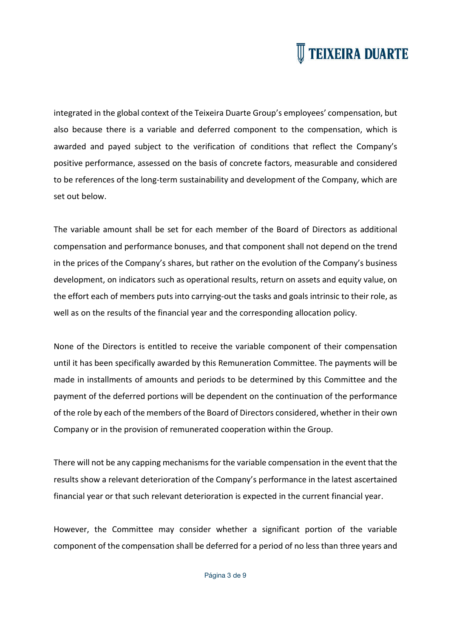integrated in the global context of the Teixeira Duarte Group's employees' compensation, but also because there is a variable and deferred component to the compensation, which is awarded and payed subject to the verification of conditions that reflect the Company's positive performance, assessed on the basis of concrete factors, measurable and considered to be references of the long-term sustainability and development of the Company, which are set out below.

The variable amount shall be set for each member of the Board of Directors as additional compensation and performance bonuses, and that component shall not depend on the trend in the prices of the Company's shares, but rather on the evolution of the Company's business development, on indicators such as operational results, return on assets and equity value, on the effort each of members puts into carrying-out the tasks and goals intrinsic to their role, as well as on the results of the financial year and the corresponding allocation policy.

None of the Directors is entitled to receive the variable component of their compensation until it has been specifically awarded by this Remuneration Committee. The payments will be made in installments of amounts and periods to be determined by this Committee and the payment of the deferred portions will be dependent on the continuation of the performance of the role by each of the members of the Board of Directors considered, whether in their own Company or in the provision of remunerated cooperation within the Group.

There will not be any capping mechanisms for the variable compensation in the event that the results show a relevant deterioration of the Company's performance in the latest ascertained financial year or that such relevant deterioration is expected in the current financial year.

However, the Committee may consider whether a significant portion of the variable component of the compensation shall be deferred for a period of no less than three years and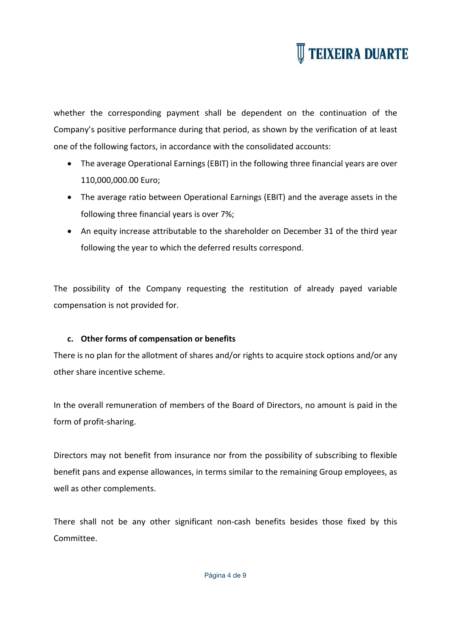

whether the corresponding payment shall be dependent on the continuation of the Company's positive performance during that period, as shown by the verification of at least one of the following factors, in accordance with the consolidated accounts:

- The average Operational Earnings (EBIT) in the following three financial years are over 110,000,000.00 Euro;
- The average ratio between Operational Earnings (EBIT) and the average assets in the following three financial years is over 7%;
- An equity increase attributable to the shareholder on December 31 of the third year following the year to which the deferred results correspond.

The possibility of the Company requesting the restitution of already payed variable compensation is not provided for.

### **c. Other forms of compensation or benefits**

There is no plan for the allotment of shares and/or rights to acquire stock options and/or any other share incentive scheme.

In the overall remuneration of members of the Board of Directors, no amount is paid in the form of profit-sharing.

Directors may not benefit from insurance nor from the possibility of subscribing to flexible benefit pans and expense allowances, in terms similar to the remaining Group employees, as well as other complements.

There shall not be any other significant non-cash benefits besides those fixed by this Committee.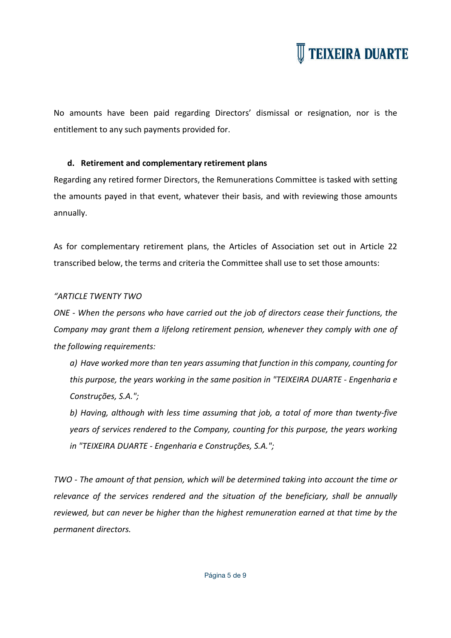

No amounts have been paid regarding Directors' dismissal or resignation, nor is the entitlement to any such payments provided for.

### **d. Retirement and complementary retirement plans**

Regarding any retired former Directors, the Remunerations Committee is tasked with setting the amounts payed in that event, whatever their basis, and with reviewing those amounts annually.

As for complementary retirement plans, the Articles of Association set out in Article 22 transcribed below, the terms and criteria the Committee shall use to set those amounts:

#### *"ARTICLE TWENTY TWO*

*ONE - When the persons who have carried out the job of directors cease their functions, the Company may grant them a lifelong retirement pension, whenever they comply with one of the following requirements:*

*a) Have worked more than ten years assuming that function in this company, counting for this purpose, the years working in the same position in "TEIXEIRA DUARTE - Engenharia e Construções, S.A.";*

*b) Having, although with less time assuming that job, a total of more than twenty-five years of services rendered to the Company, counting for this purpose, the years working in "TEIXEIRA DUARTE - Engenharia e Construções, S.A.";*

*TWO - The amount of that pension, which will be determined taking into account the time or relevance of the services rendered and the situation of the beneficiary, shall be annually reviewed, but can never be higher than the highest remuneration earned at that time by the permanent directors.*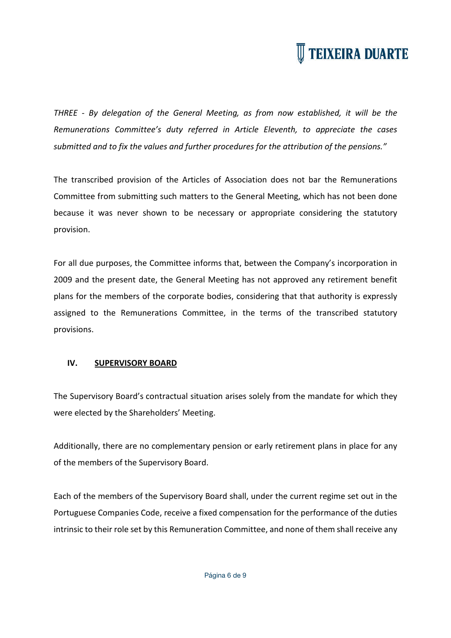*THREE - By delegation of the General Meeting, as from now established, it will be the Remunerations Committee's duty referred in Article Eleventh, to appreciate the cases submitted and to fix the values and further procedures for the attribution of the pensions."*

The transcribed provision of the Articles of Association does not bar the Remunerations Committee from submitting such matters to the General Meeting, which has not been done because it was never shown to be necessary or appropriate considering the statutory provision.

For all due purposes, the Committee informs that, between the Company's incorporation in 2009 and the present date, the General Meeting has not approved any retirement benefit plans for the members of the corporate bodies, considering that that authority is expressly assigned to the Remunerations Committee, in the terms of the transcribed statutory provisions.

# **IV. SUPERVISORY BOARD**

The Supervisory Board's contractual situation arises solely from the mandate for which they were elected by the Shareholders' Meeting.

Additionally, there are no complementary pension or early retirement plans in place for any of the members of the Supervisory Board.

Each of the members of the Supervisory Board shall, under the current regime set out in the Portuguese Companies Code, receive a fixed compensation for the performance of the duties intrinsic to their role set by this Remuneration Committee, and none of them shall receive any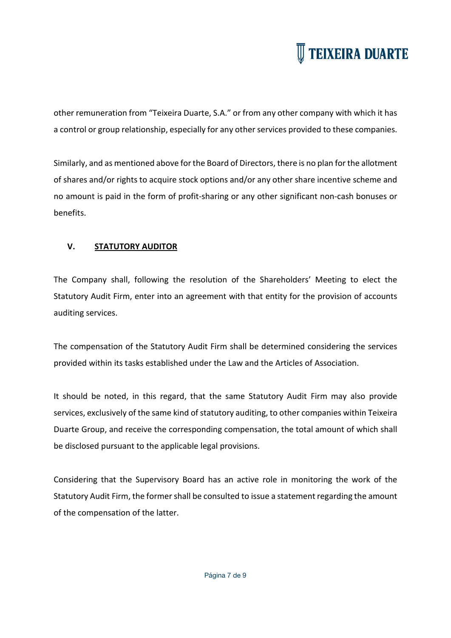

other remuneration from "Teixeira Duarte, S.A." or from any other company with which it has a control or group relationship, especially for any other services provided to these companies.

Similarly, and as mentioned above for the Board of Directors, there is no plan for the allotment of shares and/or rights to acquire stock options and/or any other share incentive scheme and no amount is paid in the form of profit-sharing or any other significant non-cash bonuses or benefits.

# **V. STATUTORY AUDITOR**

The Company shall, following the resolution of the Shareholders' Meeting to elect the Statutory Audit Firm, enter into an agreement with that entity for the provision of accounts auditing services.

The compensation of the Statutory Audit Firm shall be determined considering the services provided within its tasks established under the Law and the Articles of Association.

It should be noted, in this regard, that the same Statutory Audit Firm may also provide services, exclusively of the same kind of statutory auditing, to other companies within Teixeira Duarte Group, and receive the corresponding compensation, the total amount of which shall be disclosed pursuant to the applicable legal provisions.

Considering that the Supervisory Board has an active role in monitoring the work of the Statutory Audit Firm, the former shall be consulted to issue a statement regarding the amount of the compensation of the latter.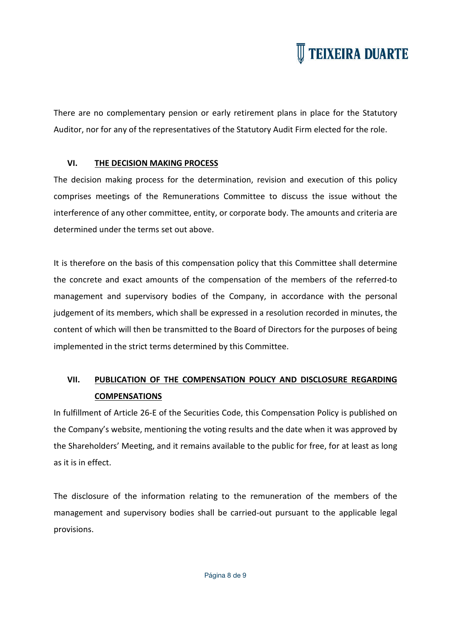There are no complementary pension or early retirement plans in place for the Statutory Auditor, nor for any of the representatives of the Statutory Audit Firm elected for the role.

# **VI. THE DECISION MAKING PROCESS**

The decision making process for the determination, revision and execution of this policy comprises meetings of the Remunerations Committee to discuss the issue without the interference of any other committee, entity, or corporate body. The amounts and criteria are determined under the terms set out above.

It is therefore on the basis of this compensation policy that this Committee shall determine the concrete and exact amounts of the compensation of the members of the referred-to management and supervisory bodies of the Company, in accordance with the personal judgement of its members, which shall be expressed in a resolution recorded in minutes, the content of which will then be transmitted to the Board of Directors for the purposes of being implemented in the strict terms determined by this Committee.

# **VII. PUBLICATION OF THE COMPENSATION POLICY AND DISCLOSURE REGARDING COMPENSATIONS**

In fulfillment of Article 26-E of the Securities Code, this Compensation Policy is published on the Company's website, mentioning the voting results and the date when it was approved by the Shareholders' Meeting, and it remains available to the public for free, for at least as long as it is in effect.

The disclosure of the information relating to the remuneration of the members of the management and supervisory bodies shall be carried-out pursuant to the applicable legal provisions.